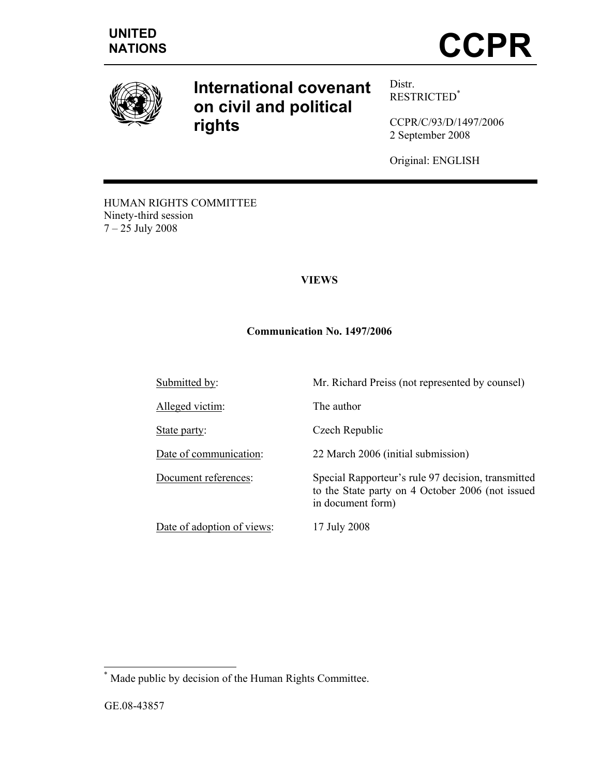

# **International covenant on civil and political rights**

Distr. RESTRICTED\*

CCPR/C/93/D/1497/2006 2 September 2008

Original: ENGLISH

to the State party on 4 October 2006 (not issued

HUMAN RIGHTS COMMITTEE Ninety-third session 7 – 25 July 2008

# **VIEWS**

# **Communication No. 1497/2006**

Submitted by: Mr. Richard Preiss (not represented by counsel)

Alleged victim: The author

State party: Czech Republic

Date of communication: 22 March 2006 (initial submission)

Document references: Special Rapporteur's rule 97 decision, transmitted

Date of adoption of views: 17 July 2008

in document form)

 \* Made public by decision of the Human Rights Committee.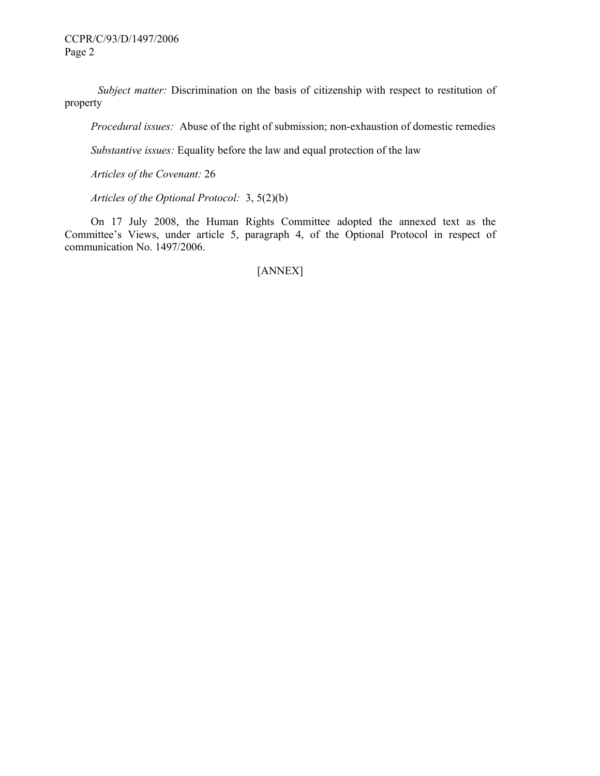*Subject matter:* Discrimination on the basis of citizenship with respect to restitution of property

 *Procedural issues:* Abuse of the right of submission; non-exhaustion of domestic remedies

 *Substantive issues:* Equality before the law and equal protection of the law

 *Articles of the Covenant:* 26

 *Articles of the Optional Protocol:* 3, 5(2)(b)

 On 17 July 2008, the Human Rights Committee adopted the annexed text as the Committee's Views, under article 5, paragraph 4, of the Optional Protocol in respect of communication No. 1497/2006.

[ANNEX]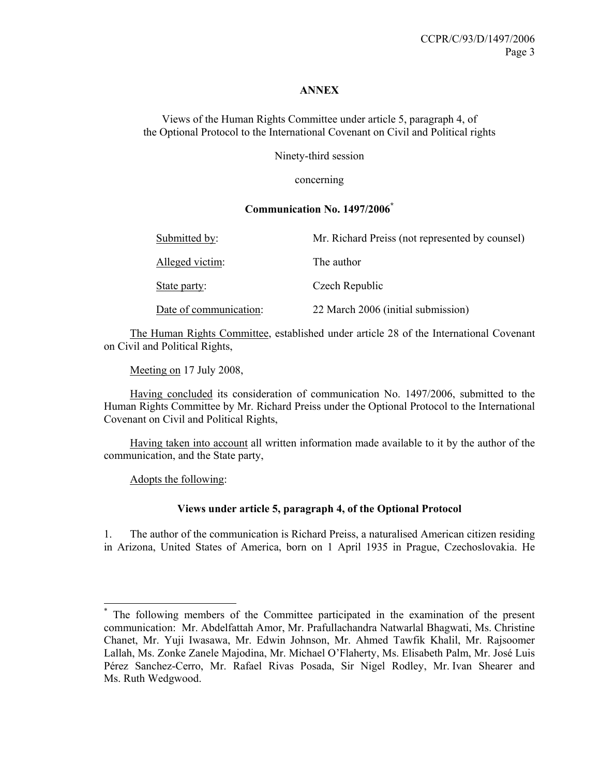#### **ANNEX**

Views of the Human Rights Committee under article 5, paragraph 4, of the Optional Protocol to the International Covenant on Civil and Political rights

Ninety-third session

concerning

#### **Communication No. 1497/2006\***

| Submitted by:          | Mr. Richard Preiss (not represented by counsel) |
|------------------------|-------------------------------------------------|
| Alleged victim:        | The author                                      |
| State party:           | Czech Republic                                  |
| Date of communication: | 22 March 2006 (initial submission)              |

 The Human Rights Committee, established under article 28 of the International Covenant on Civil and Political Rights,

Meeting on 17 July 2008,

 Having concluded its consideration of communication No. 1497/2006, submitted to the Human Rights Committee by Mr. Richard Preiss under the Optional Protocol to the International Covenant on Civil and Political Rights,

 Having taken into account all written information made available to it by the author of the communication, and the State party,

Adopts the following:

 $\overline{a}$ 

#### **Views under article 5, paragraph 4, of the Optional Protocol**

1. The author of the communication is Richard Preiss, a naturalised American citizen residing in Arizona, United States of America, born on 1 April 1935 in Prague, Czechoslovakia. He

<sup>\*</sup> The following members of the Committee participated in the examination of the present communication: Mr. Abdelfattah Amor, Mr. Prafullachandra Natwarlal Bhagwati, Ms. Christine Chanet, Mr. Yuji Iwasawa, Mr. Edwin Johnson, Mr. Ahmed Tawfik Khalil, Mr. Rajsoomer Lallah, Ms. Zonke Zanele Majodina, Mr. Michael O'Flaherty, Ms. Elisabeth Palm, Mr. José Luis Pérez Sanchez-Cerro, Mr. Rafael Rivas Posada, Sir Nigel Rodley, Mr. Ivan Shearer and Ms. Ruth Wedgwood.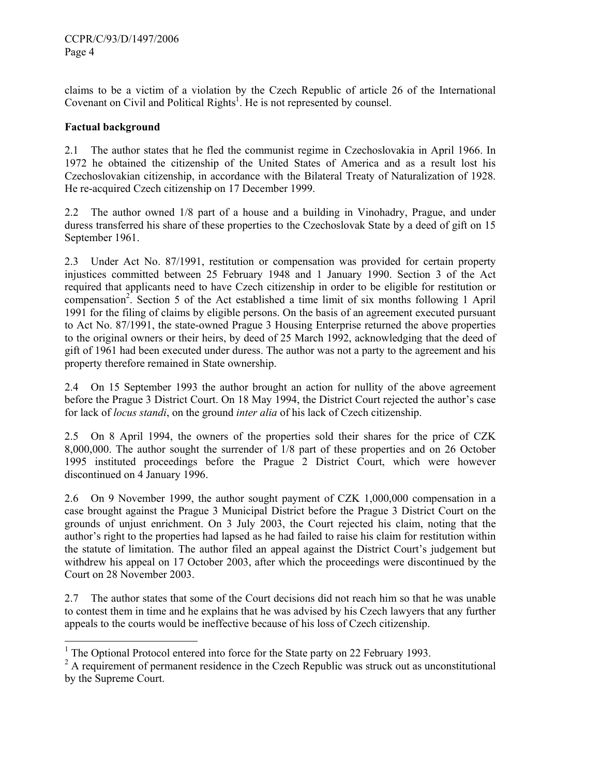claims to be a victim of a violation by the Czech Republic of article 26 of the International Covenant on Civil and Political Rights<sup>1</sup>. He is not represented by counsel.

# **Factual background**

-

2.1 The author states that he fled the communist regime in Czechoslovakia in April 1966. In 1972 he obtained the citizenship of the United States of America and as a result lost his Czechoslovakian citizenship, in accordance with the Bilateral Treaty of Naturalization of 1928. He re-acquired Czech citizenship on 17 December 1999.

2.2 The author owned 1/8 part of a house and a building in Vinohadry, Prague, and under duress transferred his share of these properties to the Czechoslovak State by a deed of gift on 15 September 1961.

2.3 Under Act No. 87/1991, restitution or compensation was provided for certain property injustices committed between 25 February 1948 and 1 January 1990. Section 3 of the Act required that applicants need to have Czech citizenship in order to be eligible for restitution or compensation<sup>2</sup>. Section 5 of the Act established a time limit of six months following 1 April 1991 for the filing of claims by eligible persons. On the basis of an agreement executed pursuant to Act No. 87/1991, the state-owned Prague 3 Housing Enterprise returned the above properties to the original owners or their heirs, by deed of 25 March 1992, acknowledging that the deed of gift of 1961 had been executed under duress. The author was not a party to the agreement and his property therefore remained in State ownership.

2.4 On 15 September 1993 the author brought an action for nullity of the above agreement before the Prague 3 District Court. On 18 May 1994, the District Court rejected the author's case for lack of *locus standi*, on the ground *inter alia* of his lack of Czech citizenship.

2.5 On 8 April 1994, the owners of the properties sold their shares for the price of CZK 8,000,000. The author sought the surrender of 1/8 part of these properties and on 26 October 1995 instituted proceedings before the Prague 2 District Court, which were however discontinued on 4 January 1996.

2.6 On 9 November 1999, the author sought payment of CZK 1,000,000 compensation in a case brought against the Prague 3 Municipal District before the Prague 3 District Court on the grounds of unjust enrichment. On 3 July 2003, the Court rejected his claim, noting that the author's right to the properties had lapsed as he had failed to raise his claim for restitution within the statute of limitation. The author filed an appeal against the District Court's judgement but withdrew his appeal on 17 October 2003, after which the proceedings were discontinued by the Court on 28 November 2003.

2.7 The author states that some of the Court decisions did not reach him so that he was unable to contest them in time and he explains that he was advised by his Czech lawyers that any further appeals to the courts would be ineffective because of his loss of Czech citizenship.

<sup>&</sup>lt;sup>1</sup> The Optional Protocol entered into force for the State party on 22 February 1993.

 $2^2$  A requirement of permanent residence in the Czech Republic was struck out as unconstitutional by the Supreme Court.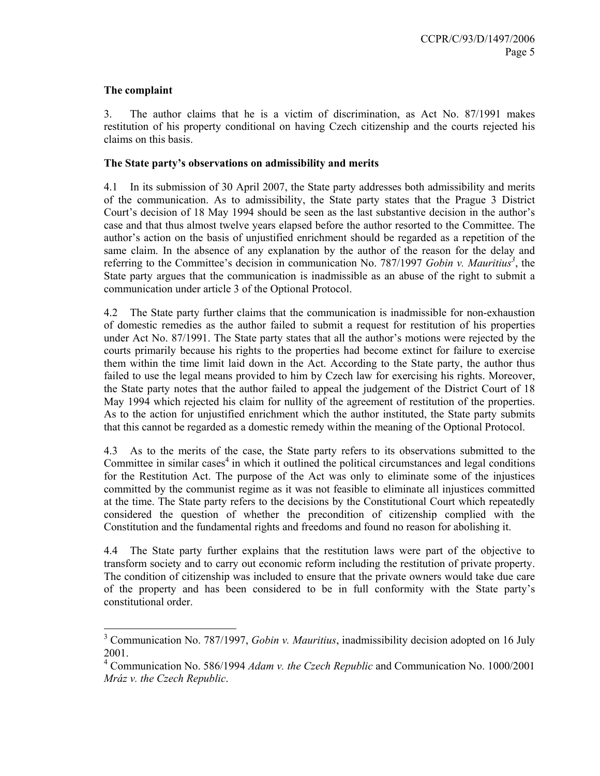#### **The complaint**

3. The author claims that he is a victim of discrimination, as Act No. 87/1991 makes restitution of his property conditional on having Czech citizenship and the courts rejected his claims on this basis.

#### **The State party's observations on admissibility and merits**

4.1 In its submission of 30 April 2007, the State party addresses both admissibility and merits of the communication. As to admissibility, the State party states that the Prague 3 District Court's decision of 18 May 1994 should be seen as the last substantive decision in the author's case and that thus almost twelve years elapsed before the author resorted to the Committee. The author's action on the basis of unjustified enrichment should be regarded as a repetition of the same claim. In the absence of any explanation by the author of the reason for the delay and referring to the Committee's decision in communication No. 787/1997 *Gobin v. Mauritius*<sup>3</sup>, the State party argues that the communication is inadmissible as an abuse of the right to submit a communication under article 3 of the Optional Protocol.

4.2 The State party further claims that the communication is inadmissible for non-exhaustion of domestic remedies as the author failed to submit a request for restitution of his properties under Act No. 87/1991. The State party states that all the author's motions were rejected by the courts primarily because his rights to the properties had become extinct for failure to exercise them within the time limit laid down in the Act. According to the State party, the author thus failed to use the legal means provided to him by Czech law for exercising his rights. Moreover, the State party notes that the author failed to appeal the judgement of the District Court of 18 May 1994 which rejected his claim for nullity of the agreement of restitution of the properties. As to the action for unjustified enrichment which the author instituted, the State party submits that this cannot be regarded as a domestic remedy within the meaning of the Optional Protocol.

4.3 As to the merits of the case, the State party refers to its observations submitted to the Committee in similar cases<sup>4</sup> in which it outlined the political circumstances and legal conditions for the Restitution Act. The purpose of the Act was only to eliminate some of the injustices committed by the communist regime as it was not feasible to eliminate all injustices committed at the time. The State party refers to the decisions by the Constitutional Court which repeatedly considered the question of whether the precondition of citizenship complied with the Constitution and the fundamental rights and freedoms and found no reason for abolishing it.

4.4 The State party further explains that the restitution laws were part of the objective to transform society and to carry out economic reform including the restitution of private property. The condition of citizenship was included to ensure that the private owners would take due care of the property and has been considered to be in full conformity with the State party's constitutional order.

<sup>3</sup> Communication No. 787/1997, *Gobin v. Mauritius*, inadmissibility decision adopted on 16 July 2001.

<sup>4</sup> Communication No. 586/1994 *Adam v. the Czech Republic* and Communication No. 1000/2001 *Mráz v. the Czech Republic*.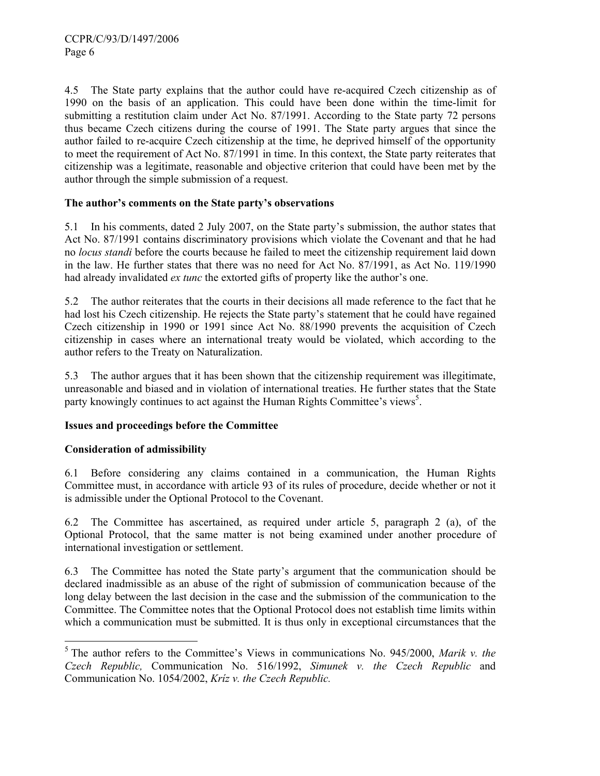4.5 The State party explains that the author could have re-acquired Czech citizenship as of 1990 on the basis of an application. This could have been done within the time-limit for submitting a restitution claim under Act No. 87/1991. According to the State party 72 persons thus became Czech citizens during the course of 1991. The State party argues that since the author failed to re-acquire Czech citizenship at the time, he deprived himself of the opportunity to meet the requirement of Act No. 87/1991 in time. In this context, the State party reiterates that citizenship was a legitimate, reasonable and objective criterion that could have been met by the author through the simple submission of a request.

# **The author's comments on the State party's observations**

5.1 In his comments, dated 2 July 2007, on the State party's submission, the author states that Act No. 87/1991 contains discriminatory provisions which violate the Covenant and that he had no *locus standi* before the courts because he failed to meet the citizenship requirement laid down in the law. He further states that there was no need for Act No. 87/1991, as Act No. 119/1990 had already invalidated *ex tunc* the extorted gifts of property like the author's one.

5.2 The author reiterates that the courts in their decisions all made reference to the fact that he had lost his Czech citizenship. He rejects the State party's statement that he could have regained Czech citizenship in 1990 or 1991 since Act No. 88/1990 prevents the acquisition of Czech citizenship in cases where an international treaty would be violated, which according to the author refers to the Treaty on Naturalization.

5.3 The author argues that it has been shown that the citizenship requirement was illegitimate, unreasonable and biased and in violation of international treaties. He further states that the State party knowingly continues to act against the Human Rights Committee's views<sup>5</sup>.

# **Issues and proceedings before the Committee**

# **Consideration of admissibility**

-

6.1 Before considering any claims contained in a communication, the Human Rights Committee must, in accordance with article 93 of its rules of procedure, decide whether or not it is admissible under the Optional Protocol to the Covenant.

6.2 The Committee has ascertained, as required under article 5, paragraph 2 (a), of the Optional Protocol, that the same matter is not being examined under another procedure of international investigation or settlement.

6.3 The Committee has noted the State party's argument that the communication should be declared inadmissible as an abuse of the right of submission of communication because of the long delay between the last decision in the case and the submission of the communication to the Committee. The Committee notes that the Optional Protocol does not establish time limits within which a communication must be submitted. It is thus only in exceptional circumstances that the

<sup>5</sup> The author refers to the Committee's Views in communications No. 945/2000, *Marik v. the Czech Republic,* Communication No. 516/1992, *Simunek v. the Czech Republic* and Communication No. 1054/2002, *Kríz v. the Czech Republic.*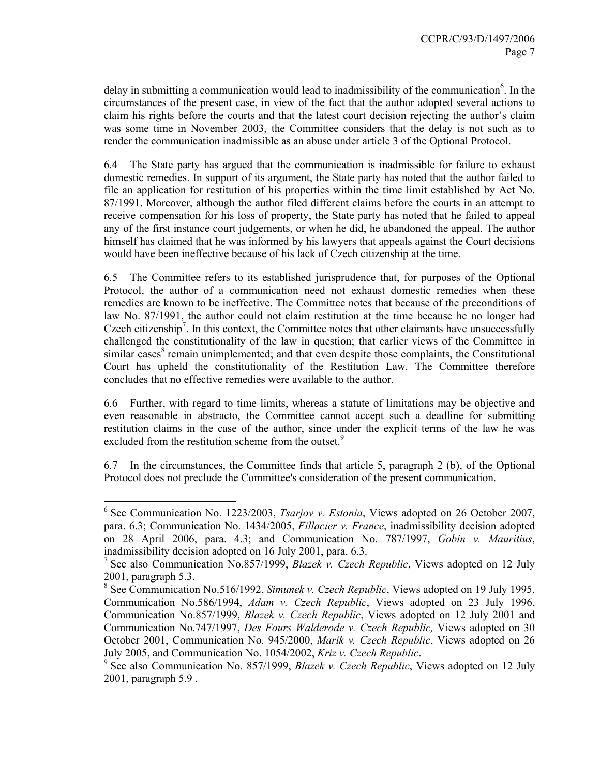delay in submitting a communication would lead to inadmissibility of the communication<sup>6</sup>. In the circumstances of the present case, in view of the fact that the author adopted several actions to claim his rights before the courts and that the latest court decision rejecting the author's claim was some time in November 2003, the Committee considers that the delay is not such as to render the communication inadmissible as an abuse under article 3 of the Optional Protocol.

6.4 The State party has argued that the communication is inadmissible for failure to exhaust domestic remedies. In support of its argument, the State party has noted that the author failed to file an application for restitution of his properties within the time limit established by Act No. 87/1991. Moreover, although the author filed different claims before the courts in an attempt to receive compensation for his loss of property, the State party has noted that he failed to appeal any of the first instance court judgements, or when he did, he abandoned the appeal. The author himself has claimed that he was informed by his lawyers that appeals against the Court decisions would have been ineffective because of his lack of Czech citizenship at the time.

6.5 The Committee refers to its established jurisprudence that, for purposes of the Optional Protocol, the author of a communication need not exhaust domestic remedies when these remedies are known to be ineffective. The Committee notes that because of the preconditions of law No. 87/1991, the author could not claim restitution at the time because he no longer had Czech citizenship<sup>7</sup>. In this context, the Committee notes that other claimants have unsuccessfully challenged the constitutionality of the law in question; that earlier views of the Committee in similar cases<sup>8</sup> remain unimplemented; and that even despite those complaints, the Constitutional Court has upheld the constitutionality of the Restitution Law. The Committee therefore concludes that no effective remedies were available to the author.

6.6 Further, with regard to time limits, whereas a statute of limitations may be objective and even reasonable in abstracto, the Committee cannot accept such a deadline for submitting restitution claims in the case of the author, since under the explicit terms of the law he was excluded from the restitution scheme from the outset.<sup>9</sup>

6.7 In the circumstances, the Committee finds that article 5, paragraph 2 (b), of the Optional Protocol does not preclude the Committee's consideration of the present communication.

 $\overline{a}$ 

<sup>6</sup> See Communication No. 1223/2003, *Tsarjov v. Estonia*, Views adopted on 26 October 2007, para. 6.3; Communication No. 1434/2005, *Fillacier v. France*, inadmissibility decision adopted on 28 April 2006, para. 4.3; and Communication No. 787/1997, *Gobin v. Mauritius*, inadmissibility decision adopted on 16 July 2001, para. 6.3.

<sup>7</sup> See also Communication No.857/1999, *Blazek v. Czech Republic*, Views adopted on 12 July 2001, paragraph 5.3.

<sup>8</sup> See Communication No.516/1992, *Simunek v. Czech Republic*, Views adopted on 19 July 1995, Communication No.586/1994, *Adam v. Czech Republic*, Views adopted on 23 July 1996, Communication No.857/1999, *Blazek v. Czech Republic*, Views adopted on 12 July 2001 and Communication No.747/1997, *Des Fours Walderode v. Czech Republic,* Views adopted on 30 October 2001, Communication No. 945/2000, *Marik v. Czech Republic*, Views adopted on 26 July 2005, and Communication No. 1054/2002, *Kriz v. Czech Republic*. 9

<sup>&</sup>lt;sup>9</sup> See also Communication No. 857/1999, *Blazek v. Czech Republic*, Views adopted on 12 July 2001, paragraph 5.9 .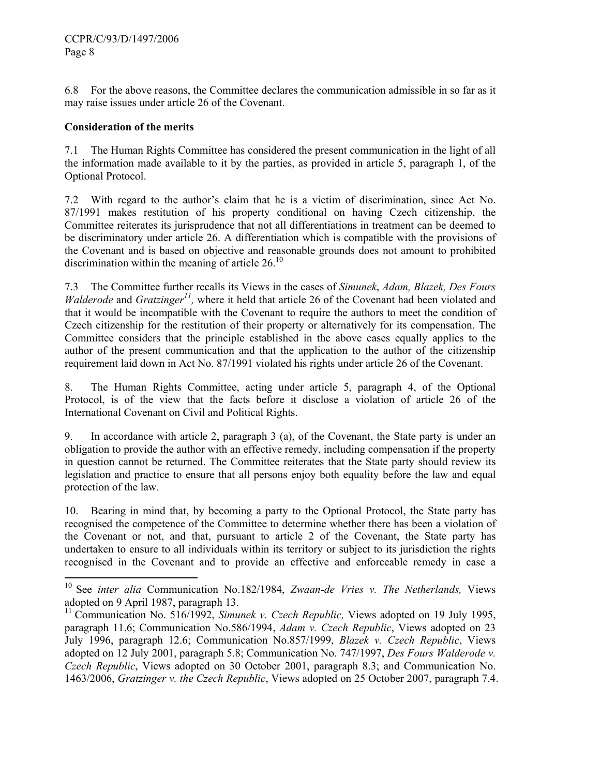6.8 For the above reasons, the Committee declares the communication admissible in so far as it may raise issues under article 26 of the Covenant.

# **Consideration of the merits**

-

7.1 The Human Rights Committee has considered the present communication in the light of all the information made available to it by the parties, as provided in article 5, paragraph 1, of the Optional Protocol.

7.2 With regard to the author's claim that he is a victim of discrimination, since Act No. 87/1991 makes restitution of his property conditional on having Czech citizenship, the Committee reiterates its jurisprudence that not all differentiations in treatment can be deemed to be discriminatory under article 26. A differentiation which is compatible with the provisions of the Covenant and is based on objective and reasonable grounds does not amount to prohibited discrimination within the meaning of article  $26<sup>10</sup>$ 

7.3 The Committee further recalls its Views in the cases of *Simunek*, *Adam, Blazek, Des Fours Walderode* and *Gratzinger<sup>11</sup>*, where it held that article 26 of the Covenant had been violated and that it would be incompatible with the Covenant to require the authors to meet the condition of Czech citizenship for the restitution of their property or alternatively for its compensation. The Committee considers that the principle established in the above cases equally applies to the author of the present communication and that the application to the author of the citizenship requirement laid down in Act No. 87/1991 violated his rights under article 26 of the Covenant.

8. The Human Rights Committee, acting under article 5, paragraph 4, of the Optional Protocol, is of the view that the facts before it disclose a violation of article 26 of the International Covenant on Civil and Political Rights.

9. In accordance with article 2, paragraph 3 (a), of the Covenant, the State party is under an obligation to provide the author with an effective remedy, including compensation if the property in question cannot be returned. The Committee reiterates that the State party should review its legislation and practice to ensure that all persons enjoy both equality before the law and equal protection of the law.

10. Bearing in mind that, by becoming a party to the Optional Protocol, the State party has recognised the competence of the Committee to determine whether there has been a violation of the Covenant or not, and that, pursuant to article 2 of the Covenant, the State party has undertaken to ensure to all individuals within its territory or subject to its jurisdiction the rights recognised in the Covenant and to provide an effective and enforceable remedy in case a

<sup>10</sup> See *inter alia* Communication No.182/1984, *Zwaan-de Vries v. The Netherlands,* Views adopted on 9 April 1987, paragraph 13.

<sup>&</sup>lt;sup>11</sup> Communication No. 516/1992, *Simunek v. Czech Republic*, Views adopted on 19 July 1995, paragraph 11.6; Communication No.586/1994, *Adam v. Czech Republic*, Views adopted on 23 July 1996, paragraph 12.6; Communication No.857/1999, *Blazek v. Czech Republic*, Views adopted on 12 July 2001, paragraph 5.8; Communication No. 747/1997, *Des Fours Walderode v. Czech Republic*, Views adopted on 30 October 2001, paragraph 8.3; and Communication No. 1463/2006, *Gratzinger v. the Czech Republic*, Views adopted on 25 October 2007, paragraph 7.4.